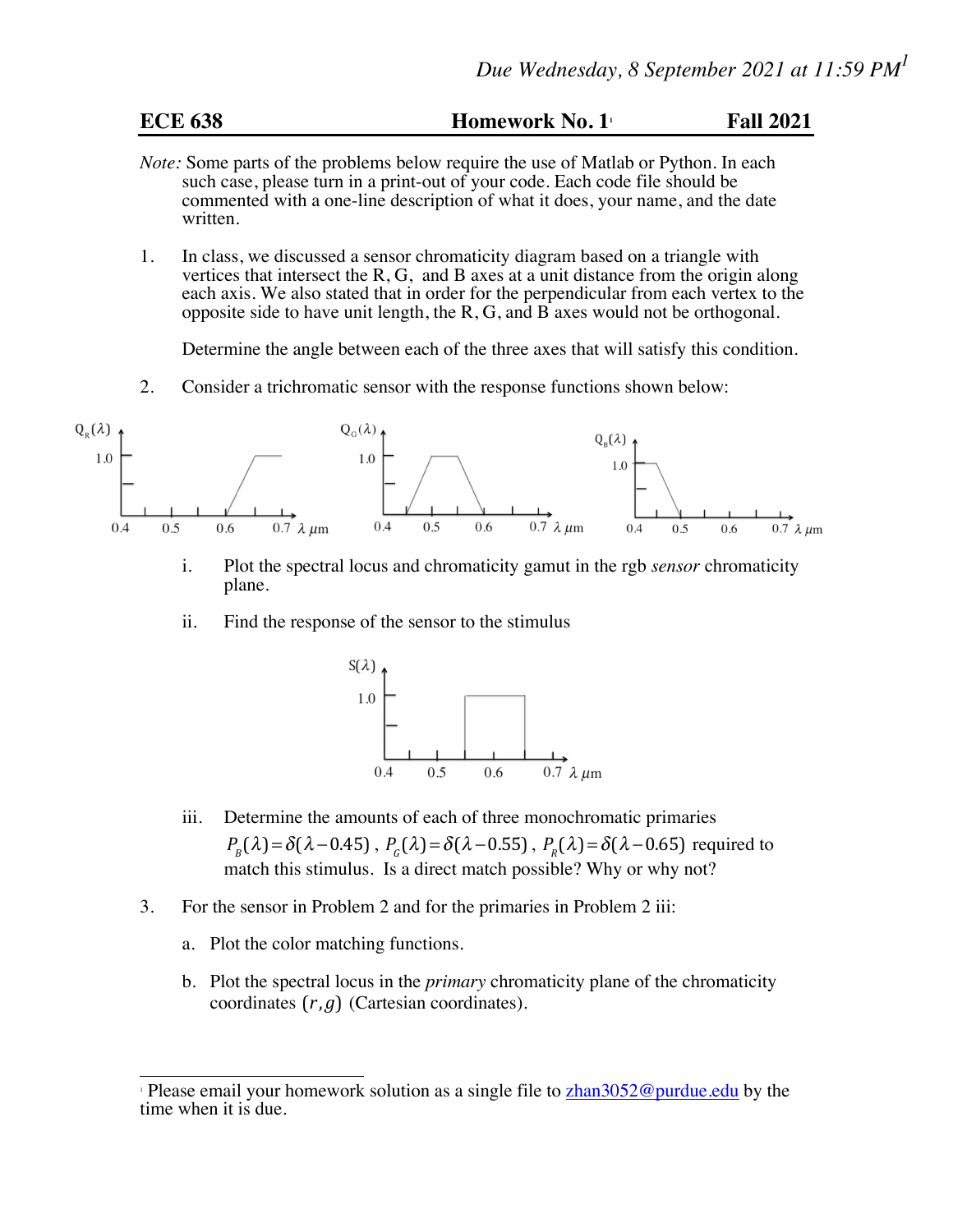| <b>ECE 638</b> | <b>Homework No. 1</b> | <b>Fall 2021</b> |
|----------------|-----------------------|------------------|
|----------------|-----------------------|------------------|

- *Note:* Some parts of the problems below require the use of Matlab or Python. In each such case, please turn in a print-out of your code. Each code file should be commented with a one-line description of what it does, your name, and the date written.
- 1. In class, we discussed a sensor chromaticity diagram based on a triangle with vertices that intersect the R, G, and B axes at a unit distance from the origin along each axis. We also stated that in order for the perpendicular from each vertex to the opposite side to have unit length, the R, G, and B axes would not be orthogonal.

Determine the angle between each of the three axes that will satisfy this condition.

2. Consider a trichromatic sensor with the response functions shown below:



- i. Plot the spectral locus and chromaticity gamut in the rgb *sensor* chromaticity plane.
- ii. Find the response of the sensor to the stimulus



- iii. Determine the amounts of each of three monochromatic primaries  $P_B(\lambda) = \delta(\lambda - 0.45)$ ,  $P_C(\lambda) = \delta(\lambda - 0.55)$ ,  $P_R(\lambda) = \delta(\lambda - 0.65)$  required to match this stimulus. Is a direct match possible? Why or why not?
- 3. For the sensor in Problem 2 and for the primaries in Problem 2 iii:
	- a. Plot the color matching functions.
	- b. Plot the spectral locus in the *primary* chromaticity plane of the chromaticity coordinates  $(r, g)$  (Cartesian coordinates).

<sup>&</sup>lt;sup>1</sup> Please email your homework solution as a single file to  $\frac{\text{zhan3052@purdue.edu}}{\text{zhan3052@purdue.edu}}$ time when it is due.